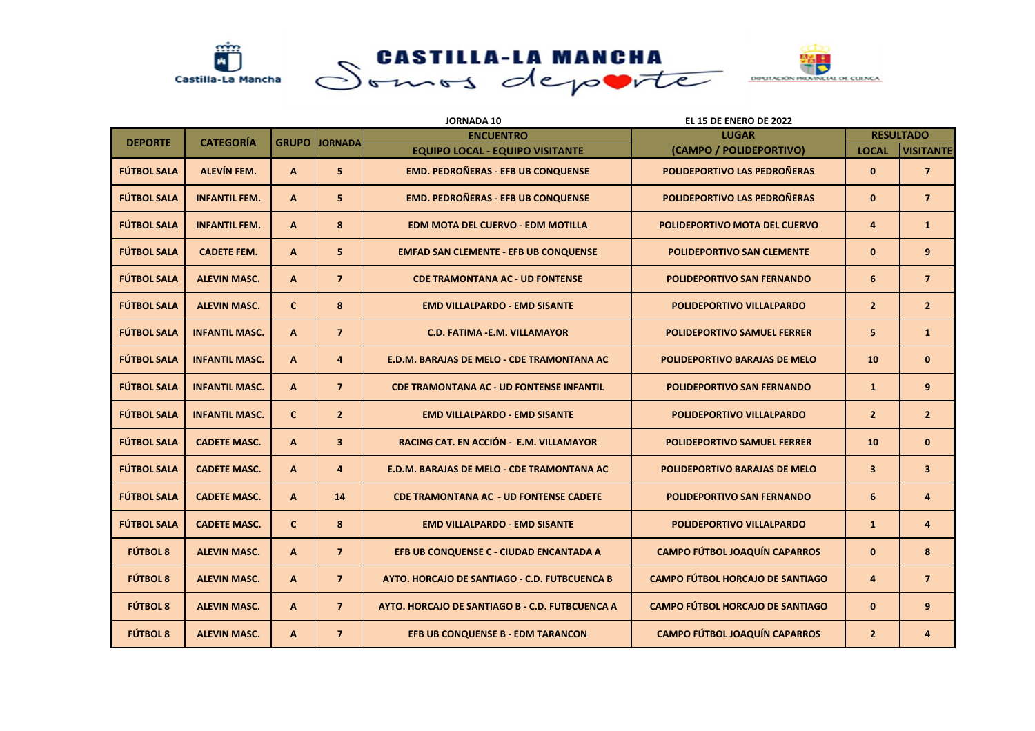

|                    |                       |              |                         | <b>JORNADA 10</b>                               | EL 15 DE ENERO DE 2022                  |                         |                         |
|--------------------|-----------------------|--------------|-------------------------|-------------------------------------------------|-----------------------------------------|-------------------------|-------------------------|
| <b>DEPORTE</b>     | <b>CATEGORÍA</b>      | <b>GRUPO</b> | <b>JORNADA</b>          | <b>ENCUENTRO</b>                                | <b>LUGAR</b>                            |                         | <b>RESULTADO</b>        |
|                    |                       |              |                         | <b>EQUIPO LOCAL - EQUIPO VISITANTE</b>          | (CAMPO / POLIDEPORTIVO)                 | <b>LOCAL</b>            | <b>VISITANTE</b>        |
| <b>FÚTBOL SALA</b> | <b>ALEVÍN FEM.</b>    | $\mathsf{A}$ | 5 <sup>1</sup>          | <b>EMD. PEDROÑERAS - EFB UB CONQUENSE</b>       | POLIDEPORTIVO LAS PEDROÑERAS            | $\mathbf{0}$            | $\overline{7}$          |
| <b>FÚTBOL SALA</b> | <b>INFANTIL FEM.</b>  | $\mathbf{A}$ | 5 <sup>1</sup>          | <b>EMD. PEDROÑERAS - EFB UB CONQUENSE</b>       | POLIDEPORTIVO LAS PEDROÑERAS            | $\mathbf 0$             | $\overline{7}$          |
| <b>FÚTBOL SALA</b> | <b>INFANTIL FEM.</b>  | $\mathbf{A}$ | 8                       | <b>EDM MOTA DEL CUERVO - EDM MOTILLA</b>        | POLIDEPORTIVO MOTA DEL CUERVO           | 4                       | $\mathbf{1}$            |
| <b>FÚTBOL SALA</b> | <b>CADETE FEM.</b>    | $\mathsf{A}$ | 5                       | <b>EMFAD SAN CLEMENTE - EFB UB CONQUENSE</b>    | <b>POLIDEPORTIVO SAN CLEMENTE</b>       | $\mathbf{0}$            | 9                       |
| <b>FÚTBOL SALA</b> | <b>ALEVIN MASC.</b>   | A            | $\overline{7}$          | <b>CDE TRAMONTANA AC - UD FONTENSE</b>          | <b>POLIDEPORTIVO SAN FERNANDO</b>       | 6                       | $\overline{7}$          |
| <b>FÚTBOL SALA</b> | <b>ALEVIN MASC.</b>   | $\mathbf{C}$ | 8                       | <b>EMD VILLALPARDO - EMD SISANTE</b>            | POLIDEPORTIVO VILLALPARDO               | $\overline{2}$          | $\overline{2}$          |
| <b>FÚTBOL SALA</b> | <b>INFANTIL MASC.</b> | $\mathbf{A}$ | $\overline{7}$          | <b>C.D. FATIMA - E.M. VILLAMAYOR</b>            | <b>POLIDEPORTIVO SAMUEL FERRER</b>      | 5                       | $\mathbf{1}$            |
| <b>FÚTBOL SALA</b> | <b>INFANTIL MASC.</b> | $\mathbf{A}$ | $\overline{4}$          | E.D.M. BARAJAS DE MELO - CDE TRAMONTANA AC      | POLIDEPORTIVO BARAJAS DE MELO           | 10                      | $\mathbf{0}$            |
| <b>FÚTBOL SALA</b> | <b>INFANTIL MASC.</b> | $\mathbf{A}$ | $\overline{7}$          | <b>CDE TRAMONTANA AC - UD FONTENSE INFANTIL</b> | <b>POLIDEPORTIVO SAN FERNANDO</b>       | $\mathbf{1}$            | 9                       |
| <b>FÚTBOL SALA</b> | <b>INFANTIL MASC.</b> | $\mathbf{C}$ | 2 <sup>2</sup>          | <b>EMD VILLALPARDO - EMD SISANTE</b>            | POLIDEPORTIVO VILLALPARDO               | $\overline{2}$          | $\overline{2}$          |
| <b>FÚTBOL SALA</b> | <b>CADETE MASC.</b>   | $\mathsf{A}$ | $\overline{\mathbf{3}}$ | RACING CAT. EN ACCIÓN - E.M. VILLAMAYOR         | <b>POLIDEPORTIVO SAMUEL FERRER</b>      | 10                      | $\bf{0}$                |
| <b>FÚTBOL SALA</b> | <b>CADETE MASC.</b>   | $\mathbf{A}$ | 4                       | E.D.M. BARAJAS DE MELO - CDE TRAMONTANA AC      | <b>POLIDEPORTIVO BARAJAS DE MELO</b>    | $\overline{\mathbf{3}}$ | $\overline{\mathbf{3}}$ |
| <b>FÚTBOL SALA</b> | <b>CADETE MASC.</b>   | $\mathbf{A}$ | 14                      | <b>CDE TRAMONTANA AC - UD FONTENSE CADETE</b>   | <b>POLIDEPORTIVO SAN FERNANDO</b>       | 6                       | 4                       |
| <b>FÚTBOL SALA</b> | <b>CADETE MASC.</b>   | $\mathbf{C}$ | 8                       | <b>EMD VILLALPARDO - EMD SISANTE</b>            | <b>POLIDEPORTIVO VILLALPARDO</b>        | $\mathbf{1}$            | 4                       |
| <b>FÚTBOL 8</b>    | <b>ALEVIN MASC.</b>   | $\mathbf{A}$ | $\overline{7}$          | EFB UB CONQUENSE C - CIUDAD ENCANTADA A         | <b>CAMPO FÚTBOL JOAQUÍN CAPARROS</b>    | $\mathbf{0}$            | 8                       |
| <b>FÚTBOL 8</b>    | <b>ALEVIN MASC.</b>   | $\mathbf{A}$ | $\overline{7}$          | AYTO. HORCAJO DE SANTIAGO - C.D. FUTBCUENCA B   | <b>CAMPO FÚTBOL HORCAJO DE SANTIAGO</b> | 4                       | $\overline{7}$          |
| <b>FÚTBOL 8</b>    | <b>ALEVIN MASC.</b>   | $\mathbf{A}$ | $\overline{7}$          | AYTO, HORCAJO DE SANTIAGO B - C.D. FUTBCUENCA A | <b>CAMPO FÚTBOL HORCAJO DE SANTIAGO</b> | $\mathbf{0}$            | 9                       |
| <b>FÚTBOL 8</b>    | <b>ALEVIN MASC.</b>   | A            | $\overline{7}$          | <b>EFB UB CONQUENSE B - EDM TARANCON</b>        | <b>CAMPO FÚTBOL JOAQUÍN CAPARROS</b>    | $\overline{2}$          | 4                       |